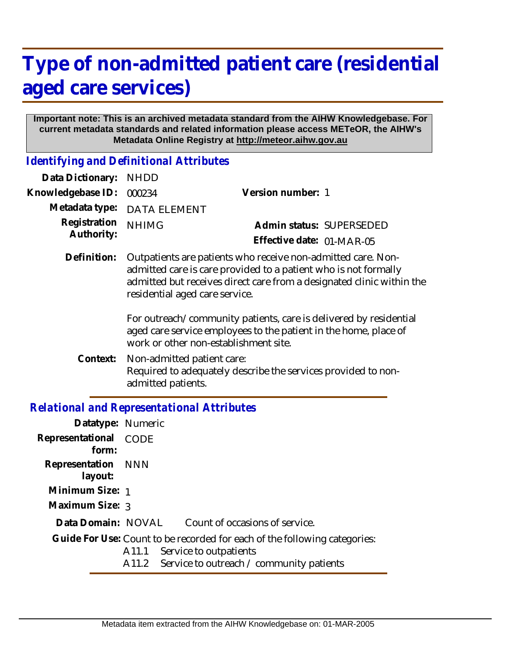## **Type of non-admitted patient care (residential aged care services)**

## **Important note: This is an archived metadata standard from the AIHW Knowledgebase. For current metadata standards and related information please access METeOR, the AIHW's Metadata Online Registry at http://meteor.aihw.gov.au**

*Identifying and Definitional Attributes*

| Data Dictionary:                             | <b>NHDD</b>                                                                                                                                                                                                                                |                                                               |
|----------------------------------------------|--------------------------------------------------------------------------------------------------------------------------------------------------------------------------------------------------------------------------------------------|---------------------------------------------------------------|
| Knowledgebase ID:                            | 000234                                                                                                                                                                                                                                     | Version number: 1                                             |
| Metadata type:<br>Registration<br>Authority: | DATA ELEMENT                                                                                                                                                                                                                               |                                                               |
|                                              | <b>NHIMG</b>                                                                                                                                                                                                                               | Admin status: SUPERSEDED                                      |
|                                              |                                                                                                                                                                                                                                            | Effective date: 01-MAR-05                                     |
| Definition:                                  | Outpatients are patients who receive non-admitted care. Non-<br>admitted care is care provided to a patient who is not formally<br>admitted but receives direct care from a designated clinic within the<br>residential aged care service. |                                                               |
|                                              | For outreach/community patients, care is delivered by residential<br>aged care service employees to the patient in the home, place of<br>work or other non-establishment site.                                                             |                                                               |
| Context:                                     | Non-admitted patient care:<br>admitted patients.                                                                                                                                                                                           | Required to adequately describe the services provided to non- |
|                                              |                                                                                                                                                                                                                                            |                                                               |

## *Relational and Representational Attributes*

| Datatype: Numeric                                                         |                                                |  |
|---------------------------------------------------------------------------|------------------------------------------------|--|
| Representational CODE<br>form:                                            |                                                |  |
| Representation NNN<br>layout:                                             |                                                |  |
| Minimum Size: 1                                                           |                                                |  |
| Maximum Size: 3                                                           |                                                |  |
| Data Domain: NOVAL                                                        | Count of occasions of service.                 |  |
| Guide For Use: Count to be recorded for each of the following categories: |                                                |  |
|                                                                           | Service to outpatients<br>A11.1                |  |
|                                                                           | A11.2 Service to outreach / community patients |  |